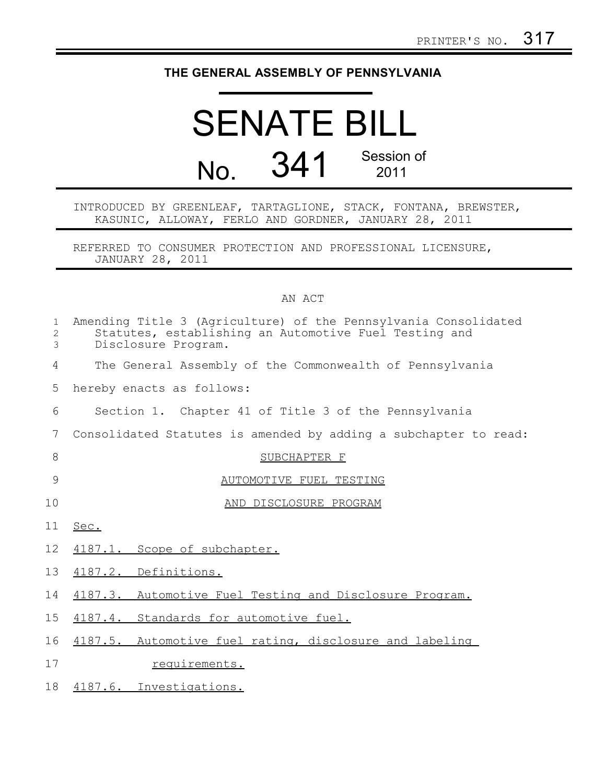## **THE GENERAL ASSEMBLY OF PENNSYLVANIA**

## SENATE BILL No. 341 Session of 2011

INTRODUCED BY GREENLEAF, TARTAGLIONE, STACK, FONTANA, BREWSTER, KASUNIC, ALLOWAY, FERLO AND GORDNER, JANUARY 28, 2011

REFERRED TO CONSUMER PROTECTION AND PROFESSIONAL LICENSURE, JANUARY 28, 2011

## AN ACT

| $\mathbf{1}$<br>2<br>3 | Amending Title 3 (Agriculture) of the Pennsylvania Consolidated<br>Statutes, establishing an Automotive Fuel Testing and<br>Disclosure Program. |
|------------------------|-------------------------------------------------------------------------------------------------------------------------------------------------|
| 4                      | The General Assembly of the Commonwealth of Pennsylvania                                                                                        |
| 5                      | hereby enacts as follows:                                                                                                                       |
| 6                      | Section 1. Chapter 41 of Title 3 of the Pennsylvania                                                                                            |
| 7                      | Consolidated Statutes is amended by adding a subchapter to read:                                                                                |
| 8                      | SUBCHAPTER F                                                                                                                                    |
| 9                      | AUTOMOTIVE FUEL TESTING                                                                                                                         |
| 10                     | AND DISCLOSURE PROGRAM                                                                                                                          |
| 11                     | Sec.                                                                                                                                            |
| 12                     | 4187.1. Scope of subchapter.                                                                                                                    |
| 13                     | 4187.2. Definitions.                                                                                                                            |
| 14                     | 4187.3. Automotive Fuel Testing and Disclosure Program.                                                                                         |
| 15                     | 4187.4. Standards for automotive fuel.                                                                                                          |
| 16                     | 4187.5. Automotive fuel rating, disclosure and labeling                                                                                         |
| 17                     | requirements.                                                                                                                                   |
| 18                     | 4187.6. Investigations.                                                                                                                         |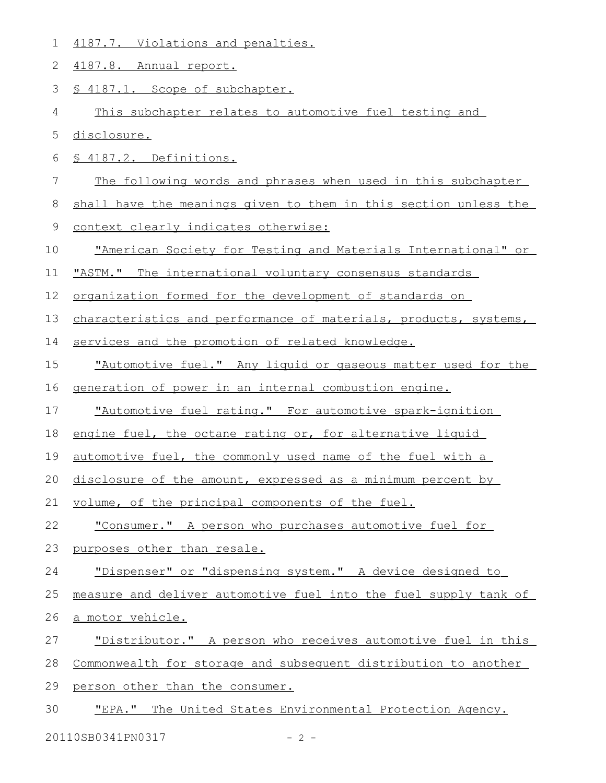|  | 4187.7. Violations and penalties. |  |
|--|-----------------------------------|--|
|  |                                   |  |

4187.8. Annual report. 2

§ 4187.1. Scope of subchapter. 3

This subchapter relates to automotive fuel testing and 4

disclosure. 5

§ 4187.2. Definitions. 6

The following words and phrases when used in this subchapter 7

shall have the meanings given to them in this section unless the 8

context clearly indicates otherwise: 9

"American Society for Testing and Materials International" or 10

"ASTM." The international voluntary consensus standards 11

organization formed for the development of standards on 12

characteristics and performance of materials, products, systems, 13

services and the promotion of related knowledge. 14

" Automotive fuel. " Any liquid or gaseous matter used for the 15

generation of power in an internal combustion engine. 16

" Automotive fuel rating. " For automotive spark-ignition 17

engine fuel, the octane rating or, for alternative liquid 18

automotive fuel, the commonly used name of the fuel with a 19

disclosure of the amount, expressed as a minimum percent by 20

volume, of the principal components of the fuel. 21

" Consumer. " A person who purchases automotive fuel for 22

purposes other than resale. 23

"Dispenser" or "dispensing system." A device designed to 24

measure and deliver automotive fuel into the fuel supply tank of 25

a motor vehicle. 26

" Distributor. " A person who receives automotive fuel in this 27

Commonwealth for storage and subsequent distribution to another 28

person other than the consumer. 29

" EPA. " The United States Environmental Protection Agency. 30

20110SB0341PN0317 - 2 -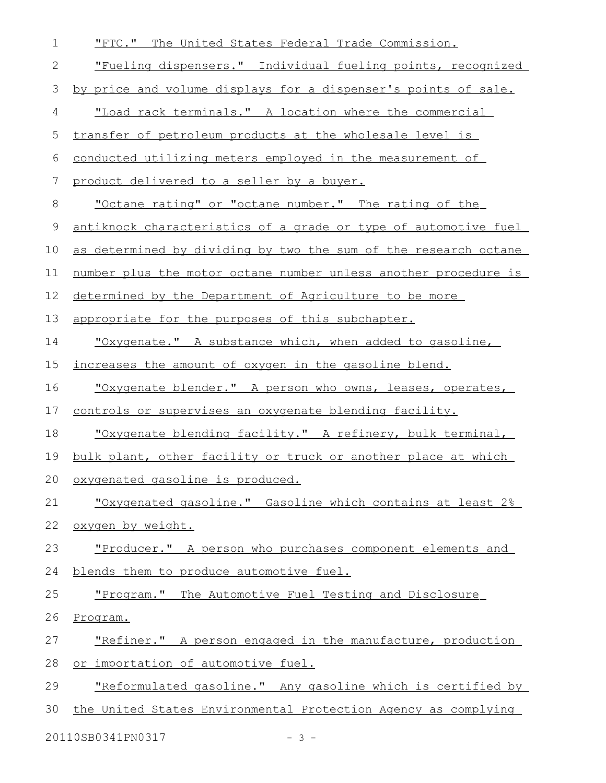| $\mathbf 1$ | "FTC." The United States Federal Trade Commission.              |
|-------------|-----------------------------------------------------------------|
| 2           | "Fueling dispensers." Individual fueling points, recognized     |
| 3           | by price and volume displays for a dispenser's points of sale.  |
| 4           | "Load rack terminals." A location where the commercial          |
| 5           | transfer of petroleum products at the wholesale level is        |
| 6           | conducted utilizing meters employed in the measurement of       |
| 7           | product delivered to a seller by a buyer.                       |
| 8           | <u>"Octane rating" or "octane number." The rating of the</u>    |
| $\mathsf 9$ | antiknock characteristics of a grade or type of automotive fuel |
| 10          | as determined by dividing by two the sum of the research octane |
| 11          | number plus the motor octane number unless another procedure is |
| 12          | determined by the Department of Agriculture to be more          |
| 13          | appropriate for the purposes of this subchapter.                |
| 14          | "Oxygenate." A substance which, when added to gasoline,         |
| 15          | increases the amount of oxygen in the gasoline blend.           |
| 16          | "Oxygenate blender." A person who owns, leases, operates,       |
| 17          | controls or supervises an oxygenate blending facility.          |
| 18          | "Oxygenate blending facility." A refinery, bulk terminal,       |
| 19          | bulk plant, other facility or truck or another place at which   |
| 20          | oxygenated gasoline is produced.                                |
| 21          | "Oxygenated gasoline." Gasoline which contains at least 2%      |
| 22          | oxygen by weight.                                               |
| 23          | "Producer." A person who purchases component elements and       |
| 24          | blends them to produce automotive fuel.                         |
| 25          | "Program." The Automotive Fuel Testing and Disclosure           |
| 26          | Program.                                                        |
| 27          | "Refiner." A person engaged in the manufacture, production      |
| 28          | or importation of automotive fuel.                              |
| 29          | "Reformulated gasoline." Any gasoline which is certified by     |
| 30          | the United States Environmental Protection Agency as complying  |
|             | 20110SB0341PN0317<br>$-3 -$                                     |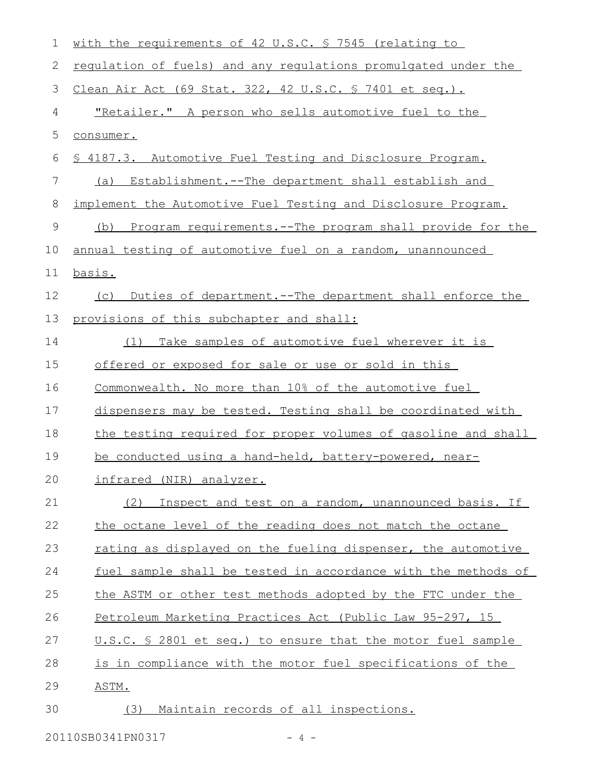| $\mathbf 1$ | with the requirements of 42 U.S.C. § 7545 (relating to            |
|-------------|-------------------------------------------------------------------|
| 2           | regulation of fuels) and any regulations promulgated under the    |
| 3           | Clean Air Act (69 Stat. 322, 42 U.S.C. § 7401 et seq.).           |
| 4           | <u>"Retailer." A person who sells automotive fuel to the</u>      |
| 5           | consumer.                                                         |
| 6           | \$ 4187.3. Automotive Fuel Testing and Disclosure Program.        |
| 7           | Establishment.--The department shall establish and<br>(a)         |
| 8           | implement the Automotive Fuel Testing and Disclosure Program.     |
| 9           | Program requirements. -- The program shall provide for the<br>(b) |
| 10          | annual testing of automotive fuel on a random, unannounced        |
| 11          | basis.                                                            |
| 12          | Duties of department. -- The department shall enforce the<br>(C)  |
| 13          | provisions of this subchapter and shall:                          |
| 14          | Take samples of automotive fuel wherever it is<br>(1)             |
| 15          | offered or exposed for sale or use or sold in this                |
| 16          | Commonwealth. No more than 10% of the automotive fuel             |
| 17          | dispensers may be tested. Testing shall be coordinated with       |
| 18          | the testing required for proper volumes of gasoline and shall     |
| 19          | be conducted using a hand-held, battery-powered, near-            |
| 20          | infrared (NIR) analyzer.                                          |
| 21          | (2) Inspect and test on a random, unannounced basis. If           |
| 22          | the octane level of the reading does not match the octane         |
| 23          | rating as displayed on the fueling dispenser, the automotive      |
| 24          | fuel sample shall be tested in accordance with the methods of     |
| 25          | the ASTM or other test methods adopted by the FTC under the       |
| 26          | Petroleum Marketing Practices Act (Public Law 95-297, 15          |
| 27          | U.S.C. § 2801 et seq.) to ensure that the motor fuel sample       |
| 28          | is in compliance with the motor fuel specifications of the        |
| 29          | ASTM.                                                             |
| 30          | Maintain records of all inspections.<br>(3)                       |

20110SB0341PN0317 - 4 -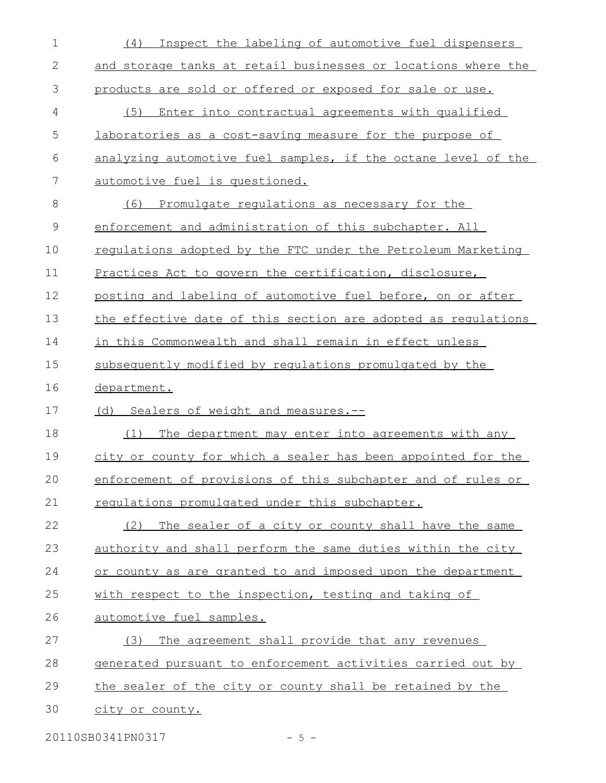| $\mathbf 1$ | Inspect the labeling of automotive fuel dispensers<br>(4)       |
|-------------|-----------------------------------------------------------------|
| 2           | and storage tanks at retail businesses or locations where the   |
| 3           | products are sold or offered or exposed for sale or use.        |
| 4           | (5)<br>Enter into contractual agreements with qualified         |
| 5           | <u>laboratories as a cost-saving measure for the purpose of</u> |
| 6           | analyzing automotive fuel samples, if the octane level of the   |
| 7           | automotive fuel is questioned.                                  |
| 8           | Promulgate regulations as necessary for the<br>(6)              |
| $\mathsf 9$ | enforcement and administration of this subchapter. All          |
| 10          | regulations adopted by the FTC under the Petroleum Marketing    |
| 11          | Practices Act to govern the certification, disclosure,          |
| 12          | posting and labeling of automotive fuel before, on or after     |
| 13          | the effective date of this section are adopted as requlations   |
| 14          | in this Commonwealth and shall remain in effect unless          |
| 15          | subsequently modified by requlations promulgated by the         |
| 16          | department.                                                     |
| 17          | (d) Sealers of weight and measures.--                           |
| 18          | The department may enter into agreements with any<br>(1)        |
| 19          | city or county for which a sealer has been appointed for the    |
| 20          | enforcement of provisions of this subchapter and of rules or    |
| 21          | requiations promulgated under this subchapter.                  |
| 22          | (2) The sealer of a city or county shall have the same          |
| 23          | authority and shall perform the same duties within the city     |
| 24          | or county as are granted to and imposed upon the department     |
| 25          | with respect to the inspection, testing and taking of           |
| 26          | automotive fuel samples.                                        |
| 27          | The agreement shall provide that any revenues<br>(3)            |
| 28          | generated pursuant to enforcement activities carried out by     |
| 29          | the sealer of the city or county shall be retained by the       |
| 30          | city or county.                                                 |
|             |                                                                 |

20110SB0341PN0317 - 5 -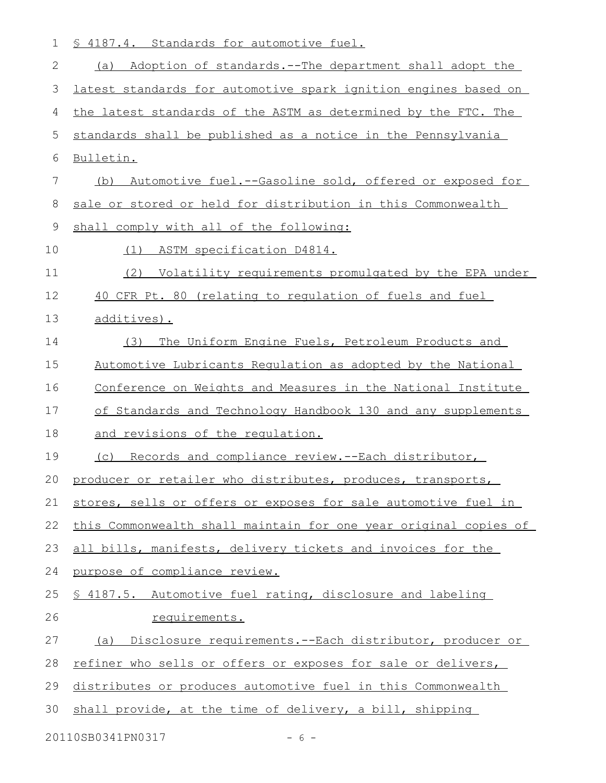|  |  | 1 § 4187.4. Standards for automotive fuel. |  |
|--|--|--------------------------------------------|--|
|  |  |                                            |  |

| 2  | Adoption of standards.--The department shall adopt the<br>(a)    |
|----|------------------------------------------------------------------|
| 3  | latest standards for automotive spark ignition engines based on  |
| 4  | the latest standards of the ASTM as determined by the FTC. The   |
| 5  | standards shall be published as a notice in the Pennsylvania     |
| 6  | Bulletin.                                                        |
| 7  | Automotive fuel.--Gasoline sold, offered or exposed for<br>(b)   |
| 8  | sale or stored or held for distribution in this Commonwealth     |
| 9  | shall comply with all of the following:                          |
| 10 | (1) ASTM specification D4814.                                    |
| 11 | (2)<br>Volatility requirements promulgated by the EPA under      |
| 12 | 40 CFR Pt. 80 (relating to regulation of fuels and fuel          |
| 13 | additives).                                                      |
| 14 | The Uniform Engine Fuels, Petroleum Products and<br>(3)          |
| 15 | Automotive Lubricants Requlation as adopted by the National      |
| 16 | Conference on Weights and Measures in the National Institute     |
| 17 | of Standards and Technology Handbook 130 and any supplements     |
| 18 | and revisions of the requlation.                                 |
| 19 | Records and compliance review.--Each distributor,<br>(C)         |
| 20 | producer or retailer who distributes, produces, transports,      |
| 21 | stores, sells or offers or exposes for sale automotive fuel in   |
| 22 | this Commonwealth shall maintain for one year original copies of |
| 23 | all bills, manifests, delivery tickets and invoices for the      |
| 24 | purpose of compliance review.                                    |
| 25 | \$ 4187.5. Automotive fuel rating, disclosure and labeling       |
| 26 | requirements.                                                    |
| 27 | Disclosure requirements.--Each distributor, producer or<br>(a)   |
| 28 | refiner who sells or offers or exposes for sale or delivers,     |
| 29 | distributes or produces automotive fuel in this Commonwealth     |
| 30 | shall provide, at the time of delivery, a bill, shipping         |
|    |                                                                  |

20110SB0341PN0317 - 6 -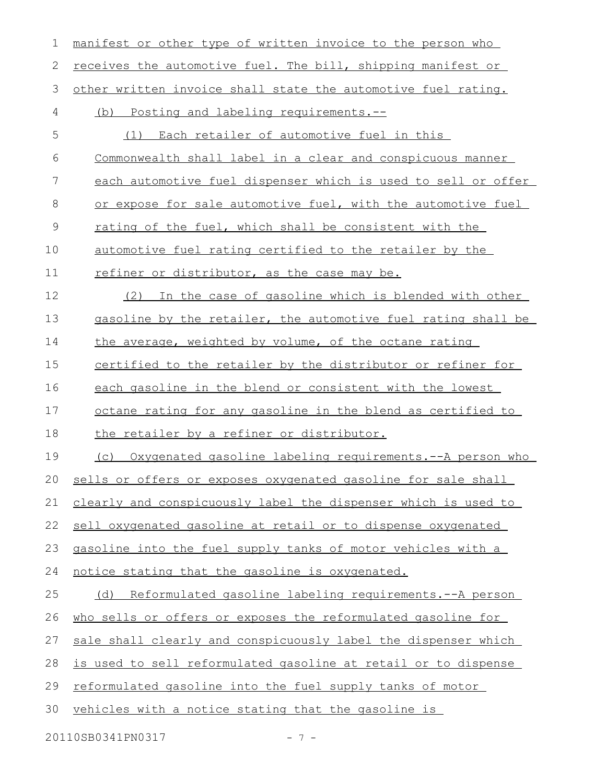| 1             | manifest or other type of written invoice to the person who        |
|---------------|--------------------------------------------------------------------|
| 2             | receives the automotive fuel. The bill, shipping manifest or       |
| 3             | other written invoice shall state the automotive fuel rating.      |
| 4             | (b) Posting and labeling requirements.--                           |
| 5             | Each retailer of automotive fuel in this<br>(1)                    |
| 6             | Commonwealth shall label in a clear and conspicuous manner         |
| 7             | each automotive fuel dispenser which is used to sell or offer      |
| 8             | or expose for sale automotive fuel, with the automotive fuel       |
| $\mathcal{G}$ | rating of the fuel, which shall be consistent with the             |
| 10            | automotive fuel rating certified to the retailer by the            |
| 11            | refiner or distributor, as the case may be.                        |
| 12            | In the case of gasoline which is blended with other<br>(2)         |
| 13            | gasoline by the retailer, the automotive fuel rating shall be      |
| 14            | the average, weighted by volume, of the octane rating              |
| 15            | certified to the retailer by the distributor or refiner for        |
| 16            | each gasoline in the blend or consistent with the lowest           |
| 17            | <u>octane rating for any gasoline in the blend as certified to</u> |
| 18            | the retailer by a refiner or distributor.                          |
| 19            | (c) Oxygenated gasoline labeling requirements.--A person who       |
| 20            | sells or offers or exposes oxygenated gasoline for sale shall      |
| 21            | clearly and conspicuously label the dispenser which is used to     |
| 22            | sell oxygenated gasoline at retail or to dispense oxygenated       |
| 23            | gasoline into the fuel supply tanks of motor vehicles with a       |
| 24            | notice stating that the gasoline is oxygenated.                    |
| 25            | Reformulated gasoline labeling requirements.--A person<br>(d)      |
| 26            | who sells or offers or exposes the reformulated gasoline for       |
| 27            | sale shall clearly and conspicuously label the dispenser which     |
| 28            | is used to sell reformulated gasoline at retail or to dispense     |
| 29            | reformulated gasoline into the fuel supply tanks of motor          |
| 30            | vehicles with a notice stating that the gasoline is                |
|               | 20110SB0341PN0317<br>$-7-$                                         |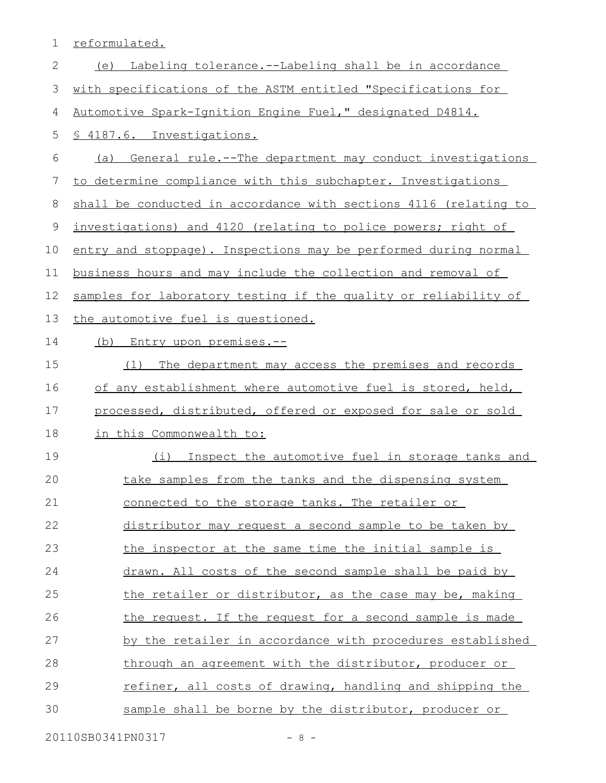reformulated. (e) Labeling tolerance.--Labeling shall be in accordance with specifications of the ASTM entitled "Specifications for Automotive Spark-Ignition Engine Fuel," designated D4814. § 4187.6. Investigations. (a) General rule.--The department may conduct investigations to determine compliance with this subchapter. Investigations shall be conducted in accordance with sections 4116 (relating to investigations) and 4120 (relating to police powers; right of entry and stoppage). Inspections may be performed during normal business hours and may include the collection and removal of samples for laboratory testing if the quality or reliability of the automotive fuel is questioned. (b) Entry upon premises.-- (1) The department may access the premises and records of any establishment where automotive fuel is stored, held, processed, distributed, offered or exposed for sale or sold in this Commonwealth to: (i) Inspect the automotive fuel in storage tanks and take samples from the tanks and the dispensing system connected to the storage tanks. The retailer or distributor may request a second sample to be taken by the inspector at the same time the initial sample is drawn. All costs of the second sample shall be paid by the retailer or distributor, as the case may be, making the request. If the request for a second sample is made by the retailer in accordance with procedures established through an agreement with the distributor, producer or refiner, all costs of drawing, handling and shipping the sample shall be borne by the distributor, producer or 1 2 3 4 5 6 7 8 9 10 11 12 13 14 15 16 17 18 19 20 21 22 23 24 25 26 27 28 29 30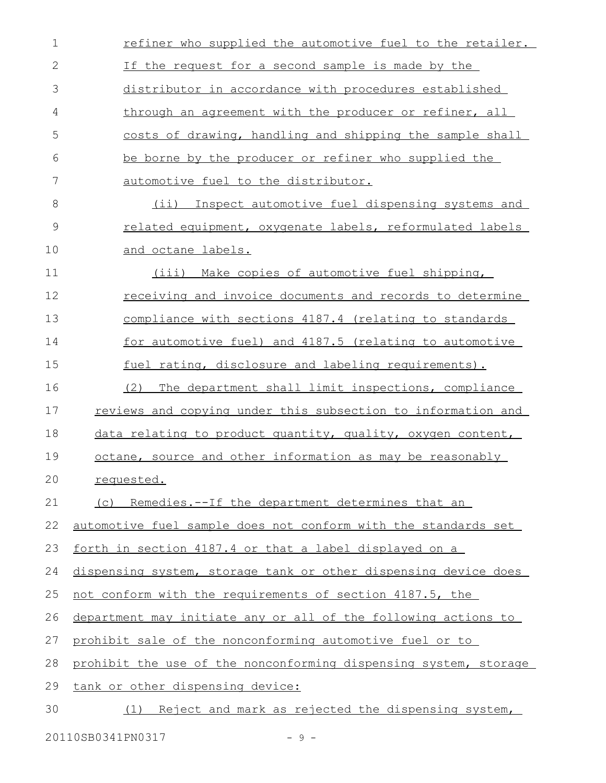| $\mathbf 1$   | refiner who supplied the automotive fuel to the retailer.        |
|---------------|------------------------------------------------------------------|
| $\mathbf{2}$  | If the request for a second sample is made by the                |
| 3             | distributor in accordance with procedures established            |
| 4             | through an agreement with the producer or refiner, all           |
| 5             | costs of drawing, handling and shipping the sample shall         |
| 6             | be borne by the producer or refiner who supplied the             |
| 7             | automotive fuel to the distributor.                              |
| 8             | (ii) Inspect automotive fuel dispensing systems and              |
| $\mathcal{G}$ | related equipment, oxygenate labels, reformulated labels         |
| 10            | and octane labels.                                               |
| 11            | (iii) Make copies of automotive fuel shipping,                   |
| 12            | <u>receiving and invoice documents and records to determine</u>  |
| 13            | compliance with sections 4187.4 (relating to standards           |
| 14            | for automotive fuel) and 4187.5 (relating to automotive          |
| 15            | fuel rating, disclosure and labeling requirements).              |
| 16            | (2)<br>The department shall limit inspections, compliance        |
| 17            | reviews and copying under this subsection to information and     |
| 18            | data relating to product quantity, quality, oxygen content,      |
| 19            | octane, source and other information as may be reasonably        |
| 20            | requested.                                                       |
| 21            | (c) Remedies.--If the department determines that an              |
| 22            | automotive fuel sample does not conform with the standards set   |
| 23            | forth in section 4187.4 or that a label displayed on a           |
| 24            | dispensing system, storage tank or other dispensing device does  |
| 25            | not conform with the requirements of section 4187.5, the         |
| 26            | department may initiate any or all of the following actions to   |
| 27            | prohibit sale of the nonconforming automotive fuel or to         |
| 28            | prohibit the use of the nonconforming dispensing system, storage |
| 29            | tank or other dispensing device:                                 |
| 30            | (1) Reject and mark as rejected the dispensing system,           |
|               |                                                                  |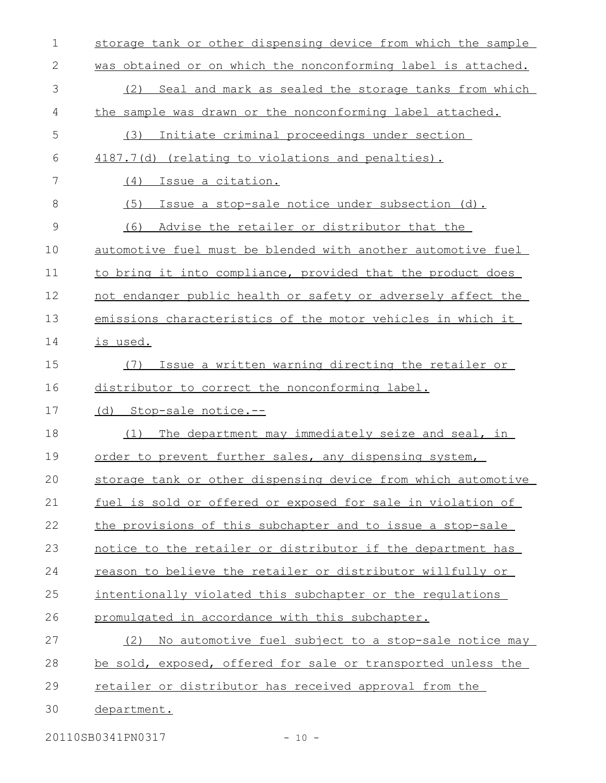| $\mathbf 1$  | storage tank or other dispensing device from which the sample |
|--------------|---------------------------------------------------------------|
| $\mathbf{2}$ | was obtained or on which the nonconforming label is attached. |
| 3            | Seal and mark as sealed the storage tanks from which<br>(2)   |
| 4            | the sample was drawn or the nonconforming label attached.     |
| 5            | Initiate criminal proceedings under section<br>(3)            |
| 6            | 4187.7(d) (relating to violations and penalties).             |
| 7            | (4)<br>Issue a citation.                                      |
| 8            | (5)<br>Issue a stop-sale notice under subsection (d).         |
| 9            | Advise the retailer or distributor that the<br>(6)            |
| 10           | automotive fuel must be blended with another automotive fuel  |
| 11           | to bring it into compliance, provided that the product does   |
| 12           | not endanger public health or safety or adversely affect the  |
| 13           | emissions characteristics of the motor vehicles in which it   |
| 14           | is used.                                                      |
| 15           | Issue a written warning directing the retailer or<br>(7)      |
| 16           | distributor to correct the nonconforming label.               |
| 17           | (d) Stop-sale notice.--                                       |
| 18           | The department may immediately seize and seal, in<br>(1)      |
| 19           | order to prevent further sales, any dispensing system,        |
| 20           | storage tank or other dispensing device from which automotive |
| 21           | fuel is sold or offered or exposed for sale in violation of   |
| 22           | the provisions of this subchapter and to issue a stop-sale    |
| 23           | notice to the retailer or distributor if the department has   |
| 24           | reason to believe the retailer or distributor willfully or    |
| 25           | intentionally violated this subchapter or the regulations     |
| 26           | promulgated in accordance with this subchapter.               |
| 27           | (2)<br>No automotive fuel subject to a stop-sale notice may   |
| 28           | be sold, exposed, offered for sale or transported unless the  |
| 29           | retailer or distributor has received approval from the        |
| 30           | department.                                                   |
|              |                                                               |

20110SB0341PN0317 - 10 -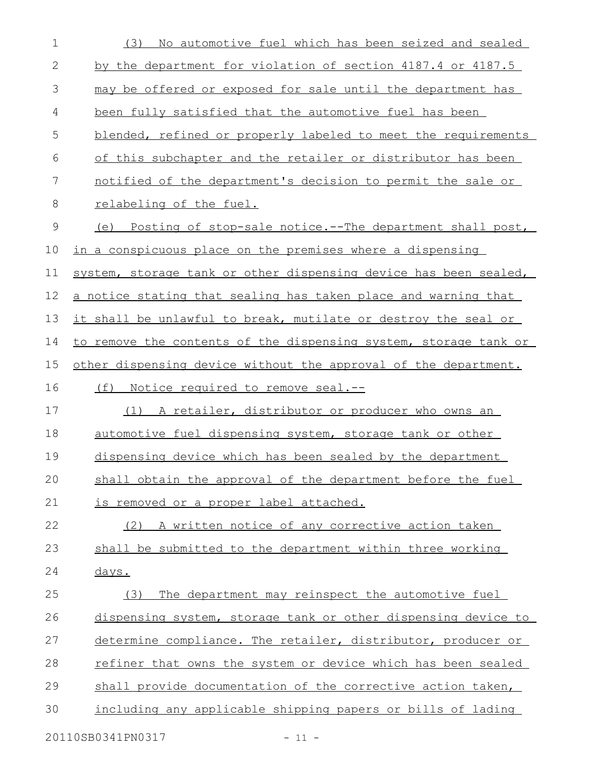| $\mathbf 1$ | No automotive fuel which has been seized and sealed<br>(3)       |
|-------------|------------------------------------------------------------------|
| 2           | by the department for violation of section 4187.4 or 4187.5      |
| 3           | may be offered or exposed for sale until the department has      |
| 4           | been fully satisfied that the automotive fuel has been           |
| 5           | blended, refined or properly labeled to meet the requirements    |
| 6           | of this subchapter and the retailer or distributor has been      |
| 7           | notified of the department's decision to permit the sale or      |
| 8           | relabeling of the fuel.                                          |
| 9           | (e) Posting of stop-sale notice.--The department shall post,     |
| 10          | in a conspicuous place on the premises where a dispensing        |
| 11          | system, storage tank or other dispensing device has been sealed, |
| 12          | a notice stating that sealing has taken place and warning that   |
| 13          | it shall be unlawful to break, mutilate or destroy the seal or   |
| 14          | to remove the contents of the dispensing system, storage tank or |
| 15          | other dispensing device without the approval of the department.  |
| 16          | (f) Notice required to remove seal.--                            |
| 17          | (1) A retailer, distributor or producer who owns an              |
| 18          | automotive fuel dispensing system, storage tank or other         |
| 19          | dispensing device which has been sealed by the department        |
| 20          | shall obtain the approval of the department before the fuel      |
| 21          | is removed or a proper label attached.                           |
| 22          | (2) A written notice of any corrective action taken              |
| 23          | shall be submitted to the department within three working        |
| 24          | <u>days.</u>                                                     |
| 25          | The department may reinspect the automotive fuel<br>(3)          |
| 26          | dispensing system, storage tank or other dispensing device to    |
| 27          | determine compliance. The retailer, distributor, producer or     |
| 28          | refiner that owns the system or device which has been sealed     |
| 29          | shall provide documentation of the corrective action taken,      |
| 30          | including any applicable shipping papers or bills of lading      |
|             |                                                                  |

20110SB0341PN0317 - 11 -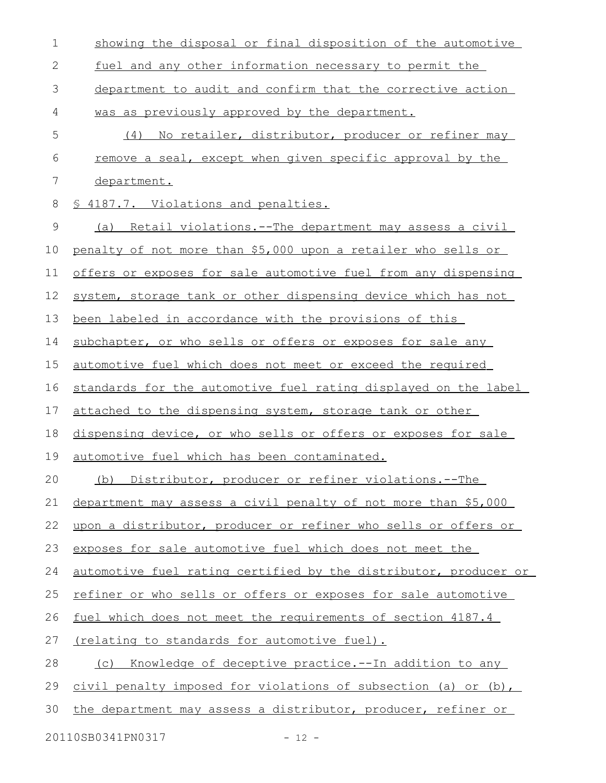| $\mathbf 1$  | showing the disposal or final disposition of the automotive         |
|--------------|---------------------------------------------------------------------|
| $\mathbf{2}$ | fuel and any other information necessary to permit the              |
| 3            | department to audit and confirm that the corrective action          |
| 4            | was as previously approved by the department.                       |
| 5            | No retailer, distributor, producer or refiner may<br>(4)            |
| 6            | remove a seal, except when given specific approval by the           |
| 7            | department.                                                         |
| 8            | § 4187.7. Violations and penalties.                                 |
| 9            | <u>Retail violations.--The department may assess a civil</u><br>(a) |
| 10           | penalty of not more than \$5,000 upon a retailer who sells or       |
| 11           | offers or exposes for sale automotive fuel from any dispensing      |
| 12           | system, storage tank or other dispensing device which has not       |
| 13           | been labeled in accordance with the provisions of this              |
| 14           | subchapter, or who sells or offers or exposes for sale any          |
| 15           | automotive fuel which does not meet or exceed the required          |
| 16           | standards for the automotive fuel rating displayed on the label     |
| 17           | attached to the dispensing system, storage tank or other            |
| 18           | dispensing device, or who sells or offers or exposes for sale       |
| 19           | automotive fuel which has been contaminated.                        |
| 20           | (b) Distributor, producer or refiner violations.--The               |
| 21           | department may assess a civil penalty of not more than \$5,000      |
| 22           | upon a distributor, producer or refiner who sells or offers or      |
| 23           | exposes for sale automotive fuel which does not meet the            |
| 24           | automotive fuel rating certified by the distributor, producer or    |
| 25           | refiner or who sells or offers or exposes for sale automotive       |
| 26           | fuel which does not meet the requirements of section 4187.4         |
| 27           | <u>(relating to standards for automotive fuel).</u>                 |
| 28           | Knowledge of deceptive practice. -- In addition to any<br>(C)       |
| 29           | civil penalty imposed for violations of subsection (a) or (b),      |
| 30           | the department may assess a distributor, producer, refiner or       |
|              |                                                                     |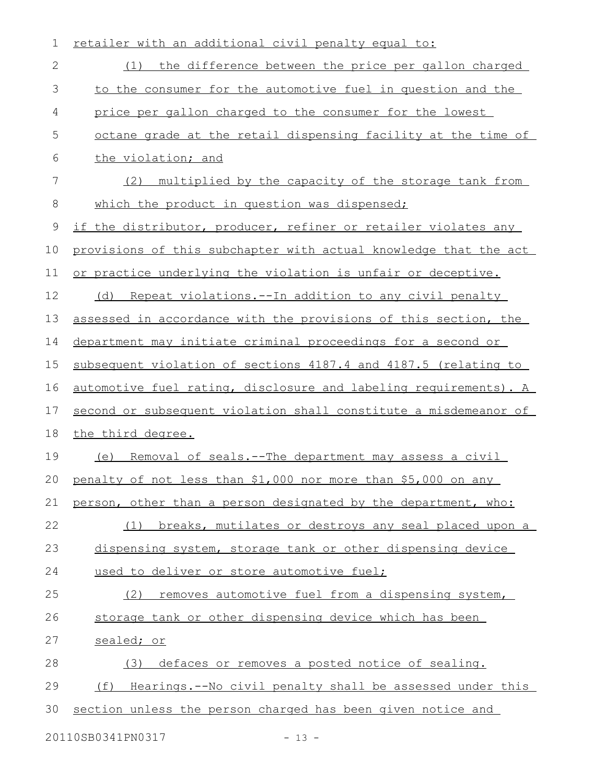| 1             | retailer with an additional civil penalty equal to:              |
|---------------|------------------------------------------------------------------|
| $\mathbf{2}$  | (1) the difference between the price per gallon charged          |
| $\mathcal{S}$ | to the consumer for the automotive fuel in question and the      |
| 4             | price per gallon charged to the consumer for the lowest          |
| 5             | octane grade at the retail dispensing facility at the time of    |
| 6             | the violation; and                                               |
| 7             | multiplied by the capacity of the storage tank from<br>(2)       |
| 8             | which the product in question was dispensed;                     |
| $\mathsf 9$   | if the distributor, producer, refiner or retailer violates any   |
| 10            | provisions of this subchapter with actual knowledge that the act |
| 11            | or practice underlying the violation is unfair or deceptive.     |
| 12            | (d) Repeat violations.--In addition to any civil penalty         |
| 13            | assessed in accordance with the provisions of this section, the  |
| 14            | department may initiate criminal proceedings for a second or     |
| 15            | subsequent violation of sections 4187.4 and 4187.5 (relating to  |
| 16            | automotive fuel rating, disclosure and labeling requirements). A |
| 17            | second or subsequent violation shall constitute a misdemeanor of |
| 18            | the third degree.                                                |
| 19            | (e) Removal of seals.--The department may assess a civil         |
|               | 20 penalty of not less than \$1,000 nor more than \$5,000 on any |
| 21            | person, other than a person designated by the department, who:   |
| 22            | (1) breaks, mutilates or destroys any seal placed upon a         |
| 23            | dispensing system, storage tank or other dispensing device       |
| 24            | used to deliver or store automotive fuel;                        |
| 25            | removes automotive fuel from a dispensing system,<br>(2)         |
| 26            | storage tank or other dispensing device which has been           |
| 27            | sealed; or                                                       |
| 28            | (3) defaces or removes a posted notice of sealing.               |
| 29            | (f)<br>Hearings.--No civil penalty shall be assessed under this  |
| 30            | section unless the person charged has been given notice and      |
|               |                                                                  |

20110SB0341PN0317 - 13 -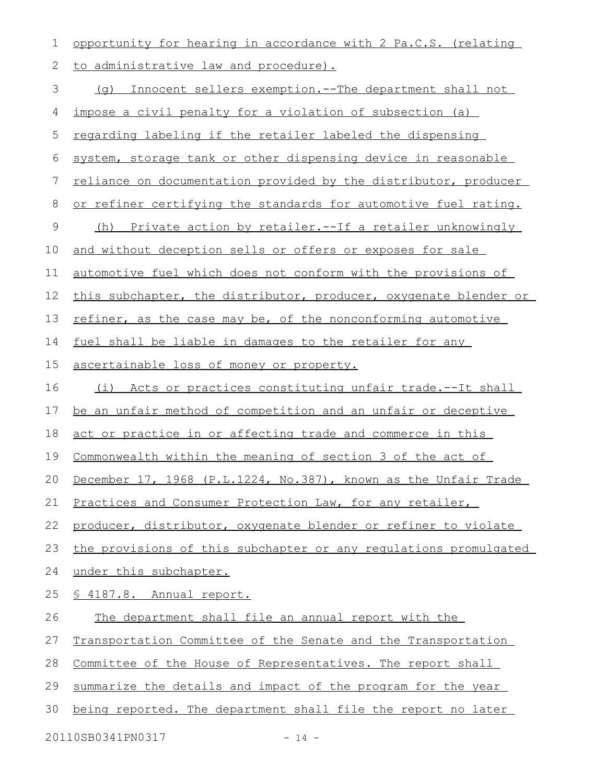| 1  | opportunity for hearing in accordance with 2 Pa.C.S. (relating     |
|----|--------------------------------------------------------------------|
| 2  | to administrative law and procedure).                              |
| 3  | (q) Innocent sellers exemption.--The department shall not          |
| 4  | impose a civil penalty for a violation of subsection (a)           |
| 5  | regarding labeling if the retailer labeled the dispensing          |
| 6  | system, storage tank or other dispensing device in reasonable      |
| 7  | reliance on documentation provided by the distributor, producer    |
| 8  | or refiner certifying the standards for automotive fuel rating.    |
| 9  | (h) Private action by retailer.--If a retailer unknowingly         |
| 10 | and without deception sells or offers or exposes for sale          |
| 11 | automotive fuel which does not conform with the provisions of      |
| 12 | this subchapter, the distributor, producer, oxygenate blender or   |
| 13 | refiner, as the case may be, of the nonconforming automotive       |
| 14 | fuel shall be liable in damages to the retailer for any            |
| 15 | ascertainable loss of money or property.                           |
| 16 | (i) Acts or practices constituting unfair trade.--It shall         |
| 17 | be an unfair method of competition and an unfair or deceptive      |
| 18 | act or practice in or affecting trade and commerce in this         |
| 19 | <u>Commonwealth within the meaning of section 3 of the act of</u>  |
|    | 20 December 17, 1968 (P.L.1224, No.387), known as the Unfair Trade |
| 21 | Practices and Consumer Protection Law, for any retailer,           |
| 22 | producer, distributor, oxygenate blender or refiner to violate     |
| 23 | the provisions of this subchapter or any requlations promulgated   |
| 24 | under this subchapter.                                             |
| 25 | § 4187.8. Annual report.                                           |
| 26 | The department shall file an annual report with the                |
| 27 | Transportation Committee of the Senate and the Transportation      |
| 28 | Committee of the House of Representatives. The report shall        |
| 29 | summarize the details and impact of the program for the year       |
| 30 | being reported. The department shall file the report no later      |
|    |                                                                    |

20110SB0341PN0317 - 14 -